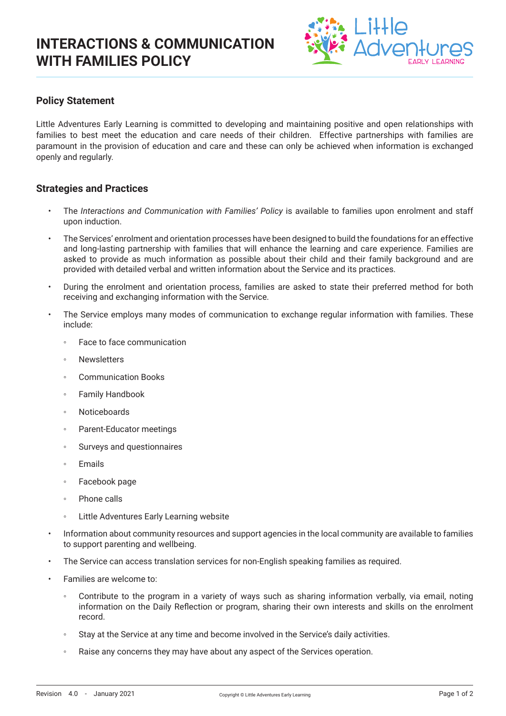

## **Policy Statement**

Little Adventures Early Learning is committed to developing and maintaining positive and open relationships with families to best meet the education and care needs of their children. Effective partnerships with families are paramount in the provision of education and care and these can only be achieved when information is exchanged openly and regularly.

### **Strategies and Practices**

- The *Interactions and Communication with Families' Policy* is available to families upon enrolment and staff upon induction.
- The Services' enrolment and orientation processes have been designed to build the foundations for an effective and long-lasting partnership with families that will enhance the learning and care experience. Families are asked to provide as much information as possible about their child and their family background and are provided with detailed verbal and written information about the Service and its practices.
- During the enrolment and orientation process, families are asked to state their preferred method for both receiving and exchanging information with the Service.
- The Service employs many modes of communication to exchange regular information with families. These include:
	- Eace to face communication
	- Newsletters
	- Communication Books
	- Family Handbook
	- Noticeboards
	- Parent-Educator meetings
	- Surveys and questionnaires
	- Emails
	- Facebook page
	- Phone calls
	- Little Adventures Early Learning website
- Information about community resources and support agencies in the local community are available to families to support parenting and wellbeing.
- The Service can access translation services for non-English speaking families as required.
- Families are welcome to:
	- Contribute to the program in a variety of ways such as sharing information verbally, via email, noting information on the Daily Reflection or program, sharing their own interests and skills on the enrolment record.
	- Stay at the Service at any time and become involved in the Service's daily activities.
	- Raise any concerns they may have about any aspect of the Services operation.